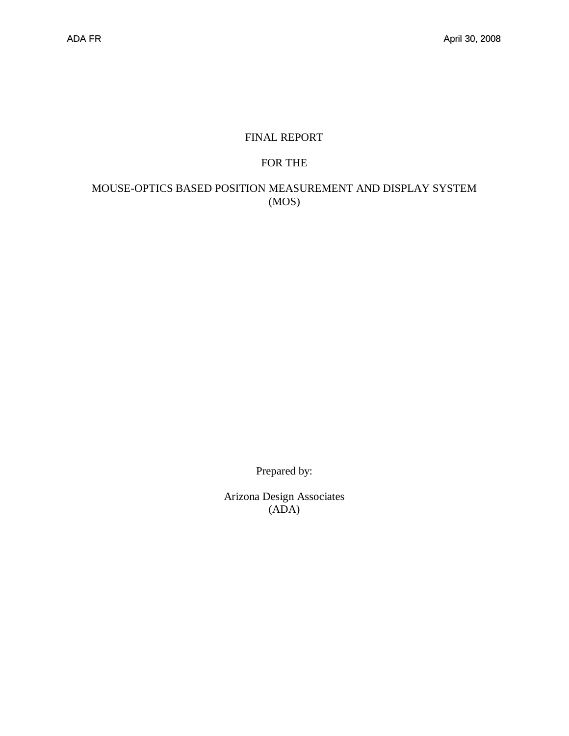## FINAL REPORT

#### FOR THE

### MOUSE-OPTICS BASED POSITION MEASUREMENT AND DISPLAY SYSTEM (MOS)

Prepared by:

Arizona Design Associates (ADA)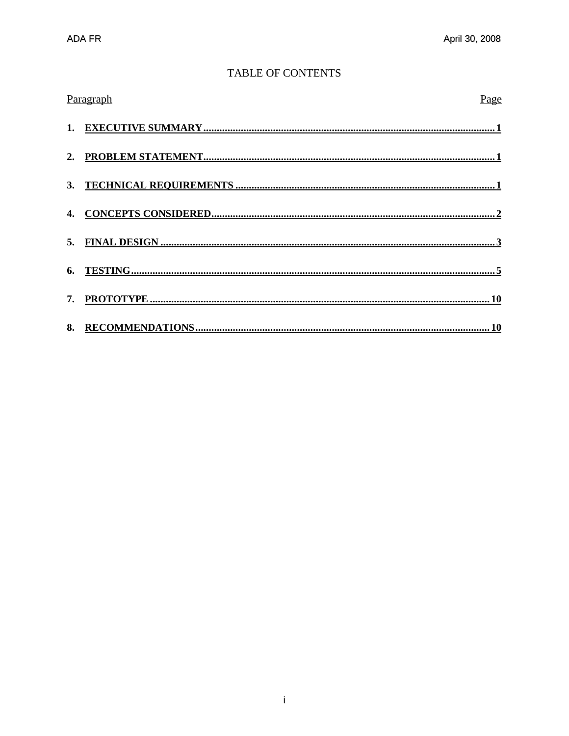### **TABLE OF CONTENTS**

| Paragraph<br>Page |
|-------------------|
|                   |
|                   |
|                   |
|                   |
|                   |
|                   |
|                   |
|                   |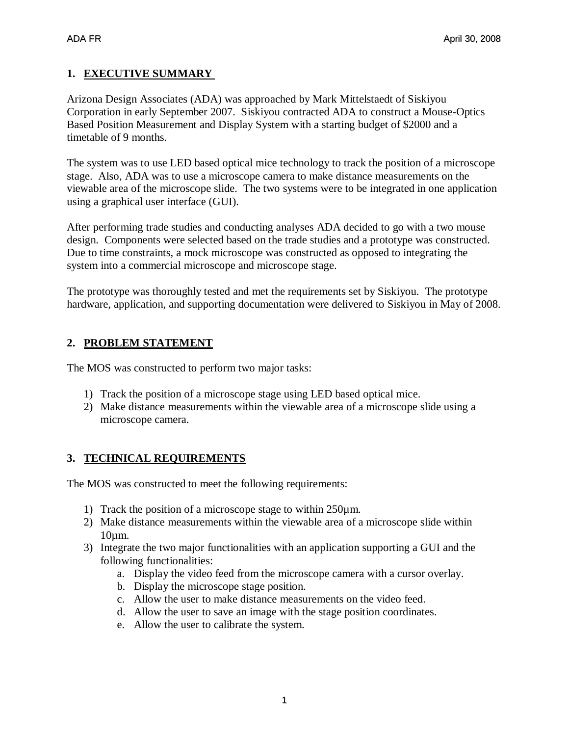## **1. EXECUTIVE SUMMARY**

Arizona Design Associates (ADA) was approached by Mark Mittelstaedt of Siskiyou Corporation in early September 2007. Siskiyou contracted ADA to construct a Mouse-Optics Based Position Measurement and Display System with a starting budget of \$2000 and a timetable of 9 months.

The system was to use LED based optical mice technology to track the position of a microscope stage. Also, ADA was to use a microscope camera to make distance measurements on the viewable area of the microscope slide. The two systems were to be integrated in one application using a graphical user interface (GUI).

After performing trade studies and conducting analyses ADA decided to go with a two mouse design. Components were selected based on the trade studies and a prototype was constructed. Due to time constraints, a mock microscope was constructed as opposed to integrating the system into a commercial microscope and microscope stage.

The prototype was thoroughly tested and met the requirements set by Siskiyou. The prototype hardware, application, and supporting documentation were delivered to Siskiyou in May of 2008.

### **2. PROBLEM STATEMENT**

The MOS was constructed to perform two major tasks:

- 1) Track the position of a microscope stage using LED based optical mice.
- 2) Make distance measurements within the viewable area of a microscope slide using a microscope camera.

## **3. TECHNICAL REQUIREMENTS**

The MOS was constructed to meet the following requirements:

- 1) Track the position of a microscope stage to within 250µm.
- 2) Make distance measurements within the viewable area of a microscope slide within 10µm.
- 3) Integrate the two major functionalities with an application supporting a GUI and the following functionalities:
	- a. Display the video feed from the microscope camera with a cursor overlay.
	- b. Display the microscope stage position.
	- c. Allow the user to make distance measurements on the video feed.
	- d. Allow the user to save an image with the stage position coordinates.
	- e. Allow the user to calibrate the system.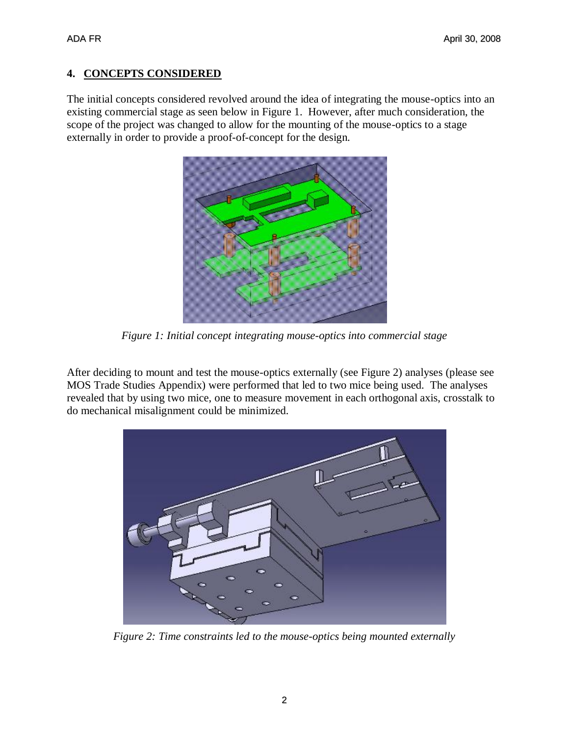#### **4. CONCEPTS CONSIDERED**

The initial concepts considered revolved around the idea of integrating the mouse-optics into an existing commercial stage as seen below in Figure 1. However, after much consideration, the scope of the project was changed to allow for the mounting of the mouse-optics to a stage externally in order to provide a proof-of-concept for the design.



*Figure 1: Initial concept integrating mouse-optics into commercial stage*

After deciding to mount and test the mouse-optics externally (see Figure 2) analyses (please see MOS Trade Studies Appendix) were performed that led to two mice being used. The analyses revealed that by using two mice, one to measure movement in each orthogonal axis, crosstalk to do mechanical misalignment could be minimized.



*Figure 2: Time constraints led to the mouse-optics being mounted externally*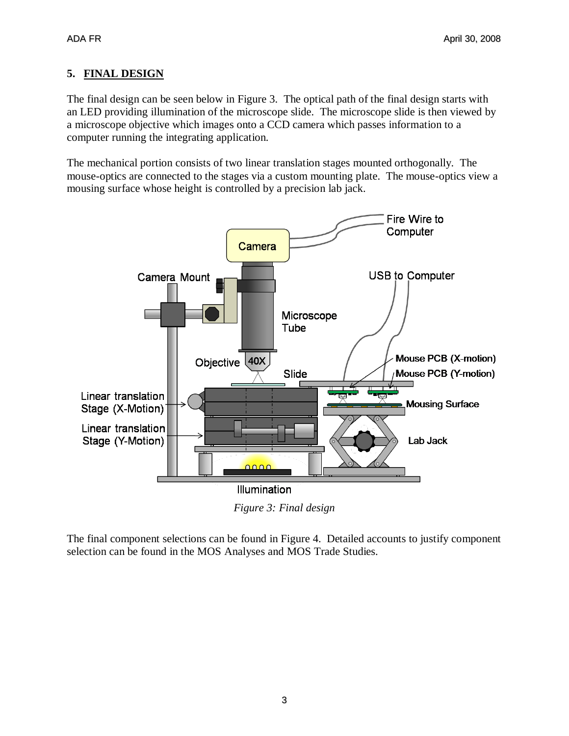# **5. FINAL DESIGN**

The final design can be seen below in Figure 3. The optical path of the final design starts with an LED providing illumination of the microscope slide. The microscope slide is then viewed by a microscope objective which images onto a CCD camera which passes information to a computer running the integrating application.

The mechanical portion consists of two linear translation stages mounted orthogonally. The mouse-optics are connected to the stages via a custom mounting plate. The mouse-optics view a mousing surface whose height is controlled by a precision lab jack.



*Figure 3: Final design*

The final component selections can be found in Figure 4. Detailed accounts to justify component selection can be found in the MOS Analyses and MOS Trade Studies.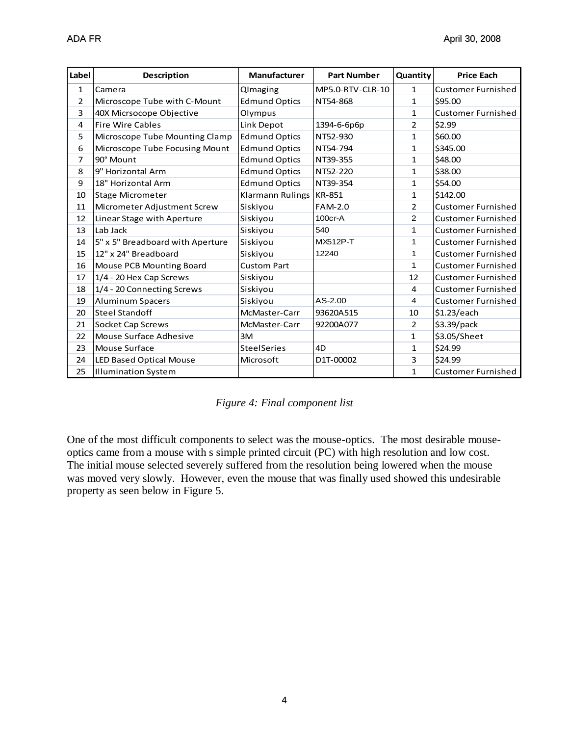| Label          | <b>Description</b>               | <b>Manufacturer</b>     | <b>Part Number</b> | Quantity       | <b>Price Each</b>         |
|----------------|----------------------------------|-------------------------|--------------------|----------------|---------------------------|
| $\mathbf{1}$   | Camera                           | QImaging                | MP5.0-RTV-CLR-10   | $\mathbf 1$    | <b>Customer Furnished</b> |
| $\overline{2}$ | Microscope Tube with C-Mount     | <b>Edmund Optics</b>    | NT54-868           | $\mathbf{1}$   | \$95.00                   |
| 3              | 40X Micrsocope Objective         | Olympus                 |                    | 1              | <b>Customer Furnished</b> |
| 4              | <b>Fire Wire Cables</b>          | Link Depot              | 1394-6-6p6p        | 2              | \$2.99                    |
| 5              | Microscope Tube Mounting Clamp   | <b>Edmund Optics</b>    | NT52-930           | $\mathbf{1}$   | \$60.00                   |
| 6              | Microscope Tube Focusing Mount   | <b>Edmund Optics</b>    | NT54-794           | 1              | \$345.00                  |
| $\overline{7}$ | 90° Mount                        | <b>Edmund Optics</b>    | NT39-355           | $\mathbf{1}$   | \$48.00                   |
| 8              | 9" Horizontal Arm                | <b>Edmund Optics</b>    | NT52-220           | 1              | \$38.00                   |
| 9              | 18" Horizontal Arm               | <b>Edmund Optics</b>    | NT39-354           | 1              | \$54.00                   |
| 10             | Stage Micrometer                 | <b>Klarmann Rulings</b> | <b>KR-851</b>      | $\mathbf{1}$   | \$142.00                  |
| 11             | Micrometer Adjustment Screw      | Siskiyou                | <b>FAM-2.0</b>     | $\overline{2}$ | <b>Customer Furnished</b> |
| 12             | Linear Stage with Aperture       | Siskiyou                | 100cr-A            | 2              | <b>Customer Furnished</b> |
| 13             | Lab Jack                         | Siskiyou                | 540                | 1              | <b>Customer Furnished</b> |
| 14             | 5" x 5" Breadboard with Aperture | Siskiyou                | <b>MX512P-T</b>    | 1              | <b>Customer Furnished</b> |
| 15             | 12" x 24" Breadboard             | Siskiyou                | 12240              | 1              | <b>Customer Furnished</b> |
| 16             | Mouse PCB Mounting Board         | <b>Custom Part</b>      |                    | $\mathbf{1}$   | <b>Customer Furnished</b> |
| 17             | 1/4 - 20 Hex Cap Screws          | Siskiyou                |                    | 12             | <b>Customer Furnished</b> |
| 18             | 1/4 - 20 Connecting Screws       | Siskiyou                |                    | 4              | <b>Customer Furnished</b> |
| 19             | Aluminum Spacers                 | Siskiyou                | $AS-2.00$          | 4              | <b>Customer Furnished</b> |
| 20             | <b>Steel Standoff</b>            | McMaster-Carr           | 93620A515          | 10             | \$1.23/each               |
| 21             | Socket Cap Screws                | McMaster-Carr           | 92200A077          | $\overline{2}$ | \$3.39/pack               |
| 22             | Mouse Surface Adhesive           | 3M                      |                    | $\mathbf{1}$   | \$3.05/Sheet              |
| 23             | Mouse Surface                    | <b>SteelSeries</b>      | 4D                 | 1              | \$24.99                   |
| 24             | <b>LED Based Optical Mouse</b>   | Microsoft               | D1T-00002          | 3              | \$24.99                   |
| 25             | Illumination System              |                         |                    | 1              | <b>Customer Furnished</b> |

|  |  |  | Figure 4: Final component list |  |
|--|--|--|--------------------------------|--|
|--|--|--|--------------------------------|--|

One of the most difficult components to select was the mouse-optics. The most desirable mouseoptics came from a mouse with s simple printed circuit (PC) with high resolution and low cost. The initial mouse selected severely suffered from the resolution being lowered when the mouse was moved very slowly. However, even the mouse that was finally used showed this undesirable property as seen below in Figure 5.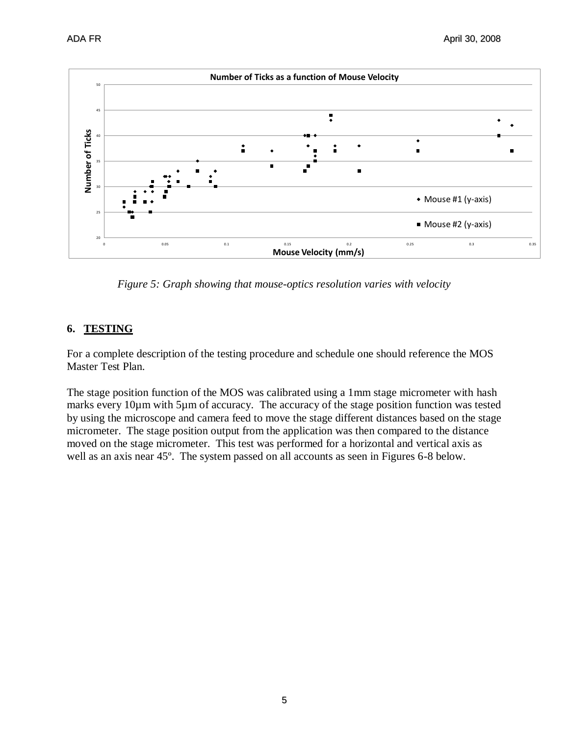

*Figure 5: Graph showing that mouse-optics resolution varies with velocity*

### **6. TESTING**

For a complete description of the testing procedure and schedule one should reference the MOS Master Test Plan.

The stage position function of the MOS was calibrated using a 1mm stage micrometer with hash marks every 10µm with 5µm of accuracy. The accuracy of the stage position function was tested by using the microscope and camera feed to move the stage different distances based on the stage micrometer. The stage position output from the application was then compared to the distance moved on the stage micrometer. This test was performed for a horizontal and vertical axis as well as an axis near 45º. The system passed on all accounts as seen in Figures 6-8 below.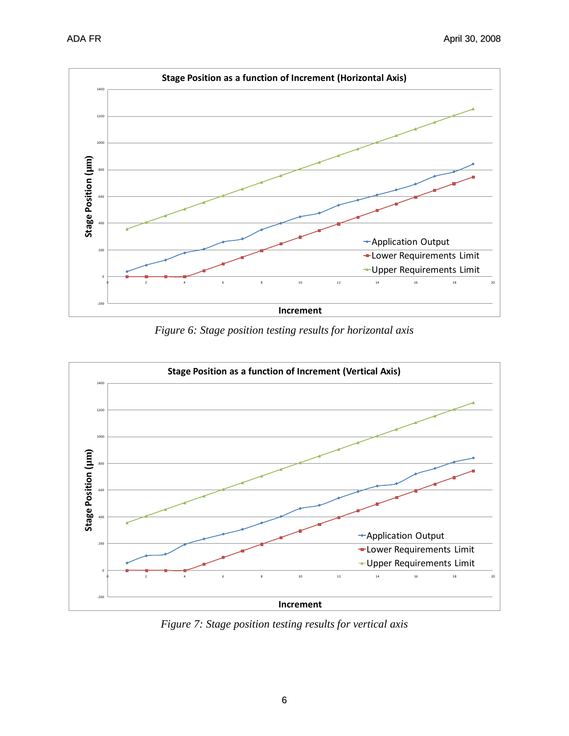

*Figure 6: Stage position testing results for horizontal axis*



*Figure 7: Stage position testing results for vertical axis*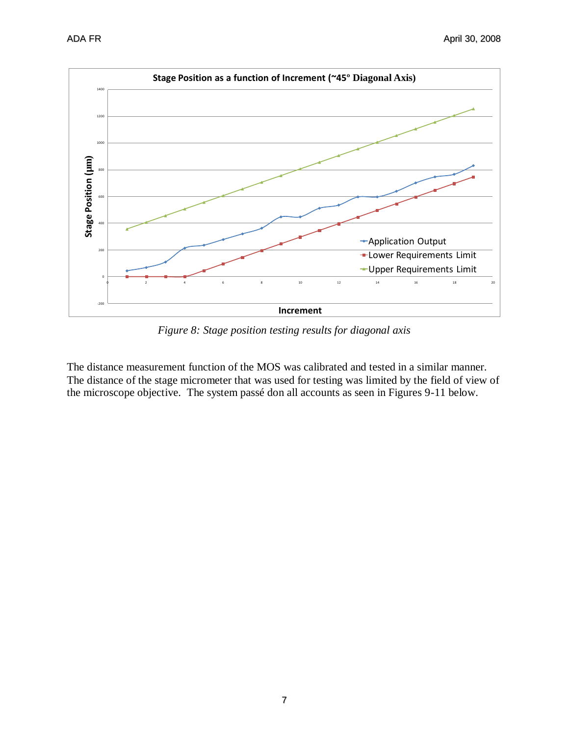

*Figure 8: Stage position testing results for diagonal axis*

The distance measurement function of the MOS was calibrated and tested in a similar manner. The distance of the stage micrometer that was used for testing was limited by the field of view of the microscope objective. The system passé don all accounts as seen in Figures 9-11 below.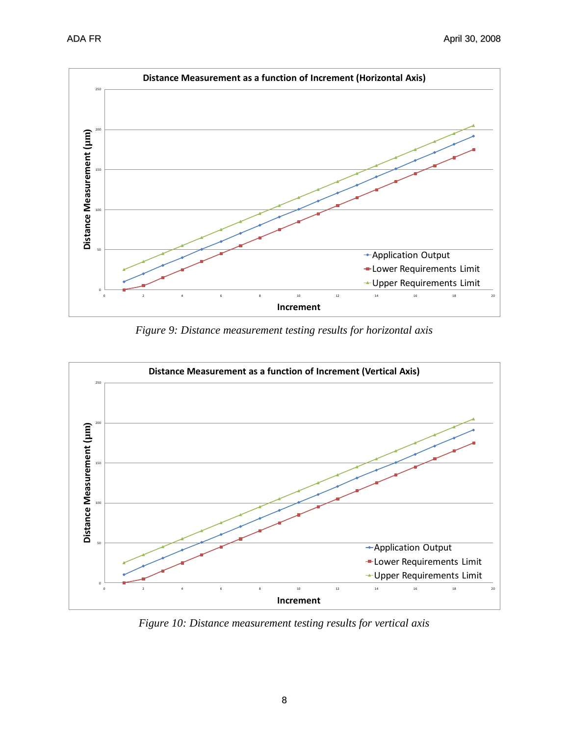

*Figure 9: Distance measurement testing results for horizontal axis*



*Figure 10: Distance measurement testing results for vertical axis*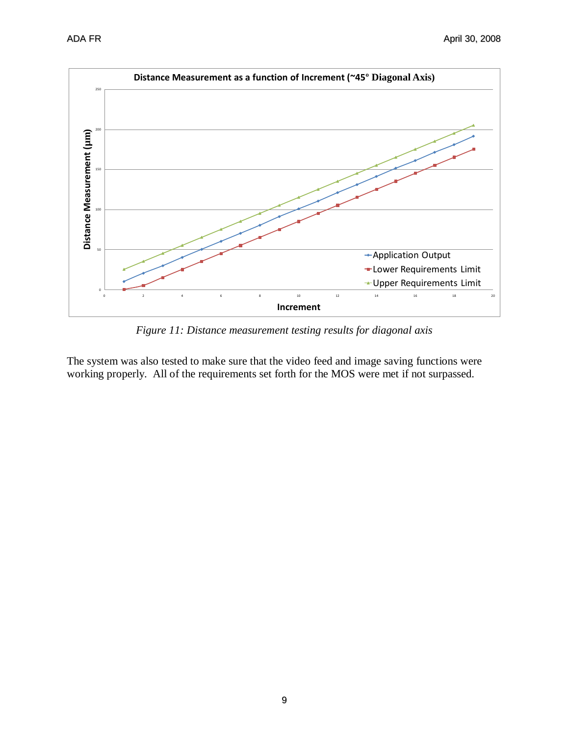

*Figure 11: Distance measurement testing results for diagonal axis*

The system was also tested to make sure that the video feed and image saving functions were working properly. All of the requirements set forth for the MOS were met if not surpassed.